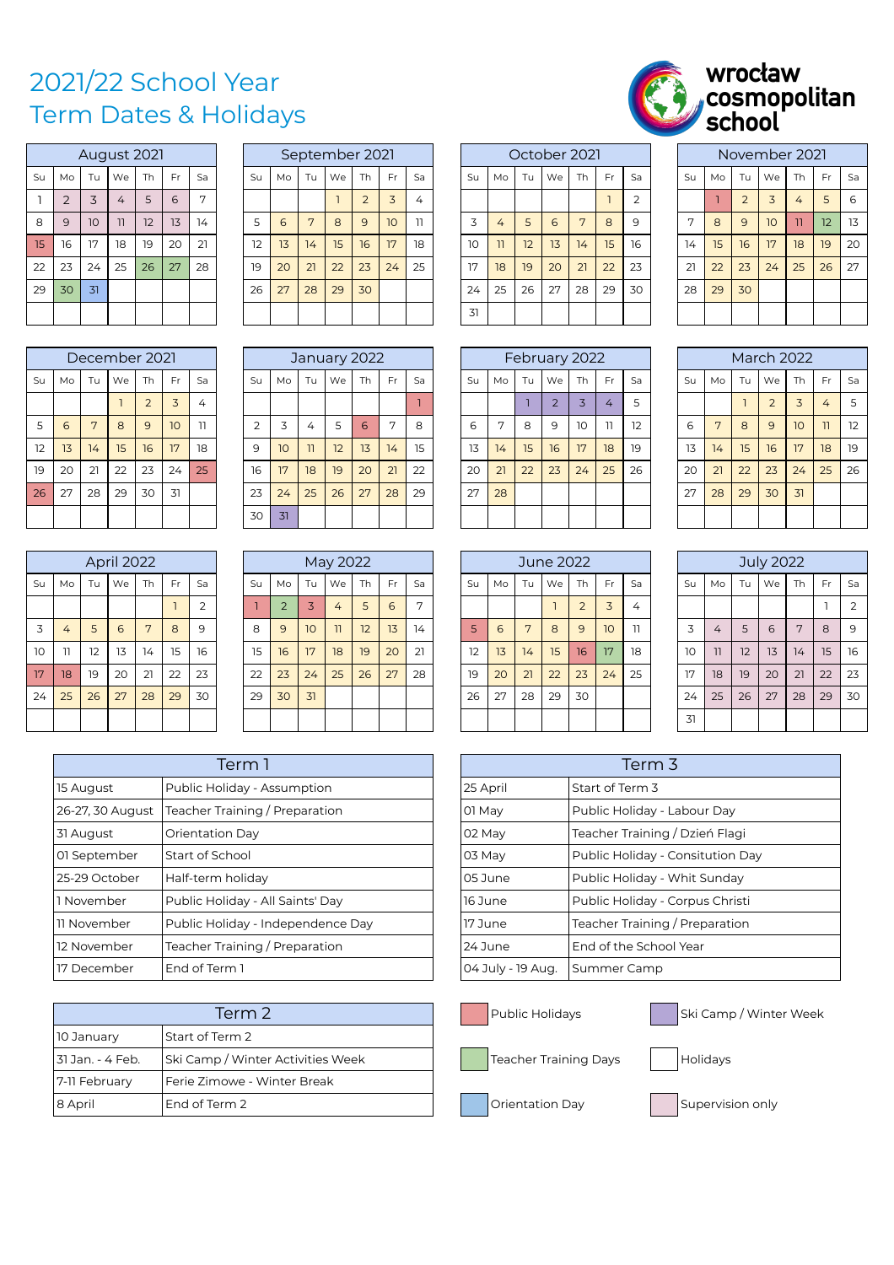## 2021/22 School Year Term Dates & Holidays

| wrocław                         |
|---------------------------------|
| <i>S</i> cosmopolitan<br>School |
|                                 |

|    |                |    | August 2021 |    |    |    |
|----|----------------|----|-------------|----|----|----|
| Su | Mo             | Tu | We          | Th | Fr | Sa |
|    | $\overline{2}$ | 3  | 4           | 5  | 6  | 7  |
| 8  | 9              | 10 | 11          | 12 | 13 | 14 |
| 15 | 16             | 17 | 18          | 19 | 20 | 21 |
| 22 | 23             | 24 | 25          | 26 | 27 | 28 |
| 29 | 30             | 31 |             |    |    |    |
|    |                |    |             |    |    |    |

| 29 | 30 | 31 |               |                |           |    | 26            | 27 | 28 | 29           | 30        |              |    | 24 | 25 | 26            | 27             | 28 | 29             | 30 | 28 | 29 | 30 |
|----|----|----|---------------|----------------|-----------|----|---------------|----|----|--------------|-----------|--------------|----|----|----|---------------|----------------|----|----------------|----|----|----|----|
|    |    |    |               |                |           |    |               |    |    |              |           |              |    | 31 |    |               |                |    |                |    |    |    |    |
|    |    |    |               |                |           |    |               |    |    |              |           |              |    |    |    |               |                |    |                |    |    |    |    |
|    |    |    | December 2021 |                |           |    |               |    |    | January 2022 |           |              |    |    |    | February 2022 |                |    |                |    |    |    | Ma |
| Su | Mo | Tu | We            | <b>Th</b>      | <b>Fr</b> | Sa | Su            | Mo | Tu | We           | <b>Th</b> | Fr           | Sa | Su | Mo | Tu            | We             | Th | Fr             | Sa | Su | Mo | Tu |
|    |    |    |               | $\overline{2}$ | 3         | 4  |               |    |    |              |           |              |    |    |    |               | $\overline{2}$ | 3  | $\overline{4}$ | 5  |    |    |    |
| 5  | 6  | 7  | 8             | 9              | 10        | 11 | $\mathcal{L}$ | 3  | 4  | 5            | 6         | $\mathbf{r}$ | 8  | 6  | 7  | 8             | 9              | 10 | $\overline{1}$ | 12 | 6  | 7  | 8  |
| 12 | 13 | 14 | 15            | 16             | 17        | 18 | 9             | 10 | 11 | 12           | 13        | 14           | 15 | 13 | 14 | 15            | 16             | 17 | 18             | 19 | 13 | 14 | 15 |
| 19 | 20 | 21 | 22            | 23             | 24        | 25 | 16            | 17 | 18 | 19           | 20        | 21           | 22 | 20 | 21 | 22            | 23             | 24 | 25             | 26 | 20 | 21 | 22 |
| 26 | 27 | 28 | 29            | 30             | 31        |    | 23            | 24 | 25 | 26           | 27        | 28           | 29 | 27 | 28 |               |                |    |                |    | 27 | 28 | 29 |

|    |                |    | April 2022 |    |    |                |
|----|----------------|----|------------|----|----|----------------|
| Su | Mo             | Tu | We         | Th | Fr | Sa             |
|    |                |    |            |    |    | $\overline{2}$ |
| 3  | 4              | 5  | 6          | 7  | 8  | 9              |
| 10 | $\overline{1}$ | 12 | 13         | 14 | 15 | 16             |
| 17 | 18             | 19 | 20         | 21 | 22 | 23             |
| 24 | 25             | 26 | 27         | 28 | 29 | 30             |
|    |                |    |            |    |    |                |

|                  |              |                 | August 2021 |           |           |                |    |    |    | September 2021 |           |    |                |    |    |    | October 2021 |    |     |                |              |    |                | November 2021 |                |           |     |
|------------------|--------------|-----------------|-------------|-----------|-----------|----------------|----|----|----|----------------|-----------|----|----------------|----|----|----|--------------|----|-----|----------------|--------------|----|----------------|---------------|----------------|-----------|-----|
| Su               | Mo           | Tu              | We          | <b>Th</b> | <b>Fr</b> | Sa             | Su | Mo | Tu | We             | <b>Th</b> | Fr | Sa             | Su | Mo | Tu | We           | Th | Fr. | Sa             | Su           | Mo | Tu             | We            | <b>Th</b>      | <b>Fr</b> | Sa  |
|                  |              | 3               | 4           | 5         | 6         | $\overline{ }$ |    |    |    |                |           | 3  | $\overline{4}$ |    |    |    |              |    |     | $\overline{2}$ |              |    | $\overline{ }$ | 3             | 4 <sup>7</sup> | 5         | 6   |
| 8                | $\mathsf{Q}$ | 10 <sup>°</sup> | 11          | 12        | 13        | 14             | 5  | 6  |    | $\mathsf{B}$   | 9         | 10 | 11             | 3  | 4  | 5  | 6            | 7  | 8   | 9              | $\mathbf{r}$ | 8  | 9              | 10            | $\overline{1}$ | 12        | -13 |
| 15 <sub>15</sub> | 16           | 17              | 18          | 19        | 20        | 21             | 12 | 13 | 14 | 15             | 16        | 17 | 18             | 10 | 11 | 12 | 13           | 14 | 15  | 16             | 14           | 15 | 16             | 17            | 18             | 19        | 20  |
| 22               | 23           | 24              | 25          | 26        | 27        | 28             | 19 | 20 | 21 | 22             | 23        | 24 | 25             | 17 | 18 | 19 | 20           | 21 | 22  | 23             | 21           | 22 | 23             | 24            | 25             | 26        | 27  |
| 29               | 30           | 31              |             |           |           |                | 26 | 27 | 28 | 29             | 30        |    |                | 24 | 25 | 26 | 27           | 28 | 29  | 30             | 28           | 29 | 30             |               |                |           |     |
|                  |              |                 |             |           |           |                |    |    |    |                |           |    |                | 31 |    |    |              |    |     |                |              |    |                |               |                |           |     |

|    |    |    | December 2021    |                |     |    |           |    |    | January 2022 |    |     |    |    |              |    | February 2022 |           |     |    |    |              |    | <b>March 2022</b> |                 |     |           |
|----|----|----|------------------|----------------|-----|----|-----------|----|----|--------------|----|-----|----|----|--------------|----|---------------|-----------|-----|----|----|--------------|----|-------------------|-----------------|-----|-----------|
| Su | Mo | Tu | We               | <b>Th</b>      | Fr. | Sa | Su        | Mo | Tu | We           | Th | Fr. | Sa | Su | Mo           | Tu | We            | <b>Th</b> | Fr. | Sa | Su | Mo           | Tu | We                | <b>Th</b>       | Fr. | Sa        |
|    |    |    |                  | $\overline{2}$ | 3   | 4  |           |    |    |              |    |     |    |    |              |    |               |           | 4   |    |    |              |    | $\bigcirc$        | 3               | 4   | - 5       |
| 5  | 6  | 7  | 8                | 9              | 10  | 11 | $\bigcap$ | 3  | 4  | 5            | 6  | 7   | 8  | 6  | $\mathbf{r}$ | 8  | 9             | 10        | 11  | 12 | 6  | $\mathbf{r}$ | 8  | 9                 | 10 <sup>°</sup> | 11  | 12        |
| 12 | 13 | 14 | 15 <sup>15</sup> | 16             | 17  | 18 | 9         | 10 | 11 | 12           | 13 | 14  | 15 | 13 | 14           | 15 | 16            | 17        | 18  | 19 | 13 | 14           | 15 | <b>16</b>         | 17              | 18  | <b>19</b> |
| 19 | 20 | 21 | 22               | 23             | 24  | 25 | 16        | 17 | 18 | 19           | 20 | 21  | 22 | 20 | 21           | 22 | 23            | 24        | 25  | 26 | 20 | 21           | 22 | 23                | 24              | 25  | 26        |
| 26 | 27 | 28 | 29               | 30             | 31  |    | 23        | 24 | 25 | 26           | 27 | 28  | 29 | 27 | 28           |    |               |           |     |    | 27 | 28           | 29 | 30                | 31              |     |           |
|    |    |    |                  |                |     |    | 30        | 31 |    |              |    |     |    |    |              |    |               |           |     |    |    |              |    |                   |                 |     |           |

|                 |                |    | April 2022 |           |           |           |    |           |                 | May 2022 |                 |    |                |    |    |    | June 2022 |    |                 |    |    |                |    | <b>July 2022</b> |              |              |                |
|-----------------|----------------|----|------------|-----------|-----------|-----------|----|-----------|-----------------|----------|-----------------|----|----------------|----|----|----|-----------|----|-----------------|----|----|----------------|----|------------------|--------------|--------------|----------------|
| Su              | Mo             | Tu | We         | <b>Th</b> | <b>Fr</b> | Sa        | Su | Mo        | Tu              | We       | <b>Th</b>       | Fr | Sa             | Su | Mo | Tu | We        | Th | Fr.             | Sa | Su | Mo             | Tu | We               | <b>Th</b>    | <b>Fr</b>    | Sa             |
|                 |                |    |            |           |           | $\bigcap$ |    | $\bigcap$ |                 | 4        |                 | 6  | $\overline{ }$ |    |    |    |           | 2  | 3               | 4  |    |                |    |                  |              |              | $\overline{2}$ |
| 3               | 4              | 5  | 6          | 7         | 8         | 9         | 8  | 9         | 10 <sup>°</sup> | 11       | 12 <sup>2</sup> | 13 | 14             | 5  | 6  | 7  | 8         | 9  | 10 <sup>°</sup> | 11 | 3  | $\overline{4}$ | 5  | 6                | $\mathbf{r}$ | $\mathsf{R}$ | 9              |
| 10              | $\overline{1}$ | 12 | 13         | 14        | 15        | 16        | 15 | 16        | 17              | 18       | 19              | 20 | 21             | 12 | 13 | 14 | 15        | 16 | 17              | 18 | 10 | 11             | 12 | 13               | 14           | 15           | <b>16</b>      |
| 17 <sup>5</sup> | 18             | 19 | 20         | 21        | 22        | 23        | 22 | 23        | 24              | 25       | 26              | 27 | 28             | 19 | 20 | 21 | 22        | 23 | 24              | 25 | 17 | 18             | 19 | 20               | 21           | 22           | 23             |
| 24              | 25             | 26 | 27         | 28        | 29        | 30        | 29 | 30        | 31              |          |                 |    |                | 26 | 27 | 28 | 29        | 30 |                 |    | 24 | 25             | 26 | 27               | 28           | 29           | 30             |
|                 |                |    |            |           |           |           |    |           |                 |          |                 |    |                |    |    |    |           |    |                 |    | 31 |                |    |                  |              |              |                |

|                  | Term 1                            |                   | Term 3                           |
|------------------|-----------------------------------|-------------------|----------------------------------|
| 15 August        | Public Holiday - Assumption       | 25 April          | Start of Term 3                  |
| 26-27, 30 August | Teacher Training / Preparation    | 01 May            | Public Holiday - Labour Day      |
| 31 August        | Orientation Day                   | 02 May            | Teacher Training / Dzień Flagi   |
| 01 September     | Start of School                   | 103 Mav           | Public Holiday - Consitution Day |
| 25-29 October    | Half-term holidav                 | l 05 June         | Public Holiday - Whit Sunday     |
| 1 November       | Public Holiday - All Saints' Day  | l 16 June         | Public Holiday - Corpus Christi  |
| l11 November     | Public Holiday - Independence Day | l 17 June         | Teacher Training / Preparation   |
| 12 November      | Teacher Training / Preparation    | 24 June           | End of the School Year           |
| l17 December     | End of Term 1                     | 04 July - 19 Aug. | Summer Camp                      |

|                  | Term 2                            |
|------------------|-----------------------------------|
| 10 January       | l Start of Term 2                 |
| 31 Jan. - 4 Feb. | Ski Camp / Winter Activities Week |
| 7-11 February    | Ferie Zimowe - Winter Break       |
| 8 April          | l End of Term 2                   |

|                |                |    | October 2021   |    |    |                |
|----------------|----------------|----|----------------|----|----|----------------|
| Su             | Mo             | Tu | We             | Th | Fr | Sa             |
|                |                |    |                |    |    | $\overline{2}$ |
| $\overline{3}$ | 4              | 5  | $\overline{6}$ | 7  | 8  | 9              |
| 10             | $\overline{1}$ | 12 | 13             | 14 | 15 | 16             |
| 17             | 18             | 19 | 20             | 21 | 22 | 23             |
| 24             | 25             | 26 | 27             | 28 | 29 | 30             |
| 31             |                |    |                |    |    |                |

|    |    |                | INUVEHINEI ZUZI |                |    |    |
|----|----|----------------|-----------------|----------------|----|----|
| Su | Mo | Tu             | We              | Th             | Fr | Sa |
|    |    | $\overline{2}$ | $\overline{3}$  | $\overline{4}$ | 5  | 6  |
| 7  | 8  | 9              | 10              | $\overline{1}$ | 12 | 13 |
| 14 | 15 | 16             | 17              | 18             | 19 | 20 |
| 21 | 22 | 23             | 24              | 25             | 26 | 27 |
| 28 | 29 | 30             |                 |                |    |    |
|    |    |                |                 |                |    |    |
|    |    |                |                 |                |    |    |

|    |    |    | February 2022  |                |                |    |
|----|----|----|----------------|----------------|----------------|----|
| Su | Mo | Tu | We             | Th             | Fr             | Sa |
|    |    |    | $\overline{2}$ | $\overline{3}$ | 4              | 5  |
| 6  | 7  | 8  | 9              | 10             | $\overline{1}$ | 12 |
| 13 | 14 | 15 | 16             | 17             | 18             | 19 |
| 20 | 21 | 22 | 23             | 24             | 25             | 26 |
| 27 | 28 |    |                |                |                |    |
|    |    |    |                |                |                |    |

|    |    | June 2022<br>Tu<br>We<br>Fr<br>Sa<br>Th<br>$\overline{3}$<br>$\overline{2}$<br>4<br>1<br>7<br>10<br>8<br>9<br>$\overline{1}$<br>15<br>16<br>14<br>17<br>18 |    |    |    |    |  |  |  |  |  |  |
|----|----|------------------------------------------------------------------------------------------------------------------------------------------------------------|----|----|----|----|--|--|--|--|--|--|
| Su | Mo |                                                                                                                                                            |    |    |    |    |  |  |  |  |  |  |
|    |    |                                                                                                                                                            |    |    |    |    |  |  |  |  |  |  |
| 5  | 6  |                                                                                                                                                            |    |    |    |    |  |  |  |  |  |  |
| 12 | 13 |                                                                                                                                                            |    |    |    |    |  |  |  |  |  |  |
| 19 | 20 | 21                                                                                                                                                         | 22 | 23 | 24 | 25 |  |  |  |  |  |  |
| 26 | 27 | 28                                                                                                                                                         | 29 | 30 |    |    |  |  |  |  |  |  |
|    |    |                                                                                                                                                            |    |    |    |    |  |  |  |  |  |  |

|                |                |    | <b>July 2022</b> |    |    |                |
|----------------|----------------|----|------------------|----|----|----------------|
| Su             | Mo             | Tu | We               | Th | Fr | Sa             |
|                |                |    |                  |    | ı  | $\overline{2}$ |
| $\overline{3}$ | $\overline{4}$ | 5  | 6                | 7  | 8  | 9              |
| 10             | $\overline{1}$ | 12 | 13               | 14 | 15 | 16             |
| 17             | 18             | 19 | 20               | 21 | 22 | 23             |
| 24             | 25             | 26 | 27               | 28 | 29 | 30             |
| 31             |                |    |                  |    |    |                |

| Term 1                    |                   | Term 3                           |
|---------------------------|-------------------|----------------------------------|
| oliday - Assumption       | 25 April          | Start of Term 3                  |
| Training / Preparation    | 01 May            | Public Holiday - Labour Day      |
| on Day                    | 02 May            | Teacher Training / Dzień Flagi   |
| ichool                    | 03 May            | Public Holiday - Consitution Day |
| n holiday                 | l 05 June         | Public Holiday - Whit Sunday     |
| pliday - All Saints' Day  | 16 June           | Public Holiday - Corpus Christi  |
| oliday - Independence Day | 17 June           | Teacher Training / Preparation   |
| Training / Preparation    | 24 June           | End of the School Year           |
| erm 1                     | 04 July - 19 Aug. | Summer Camp                      |